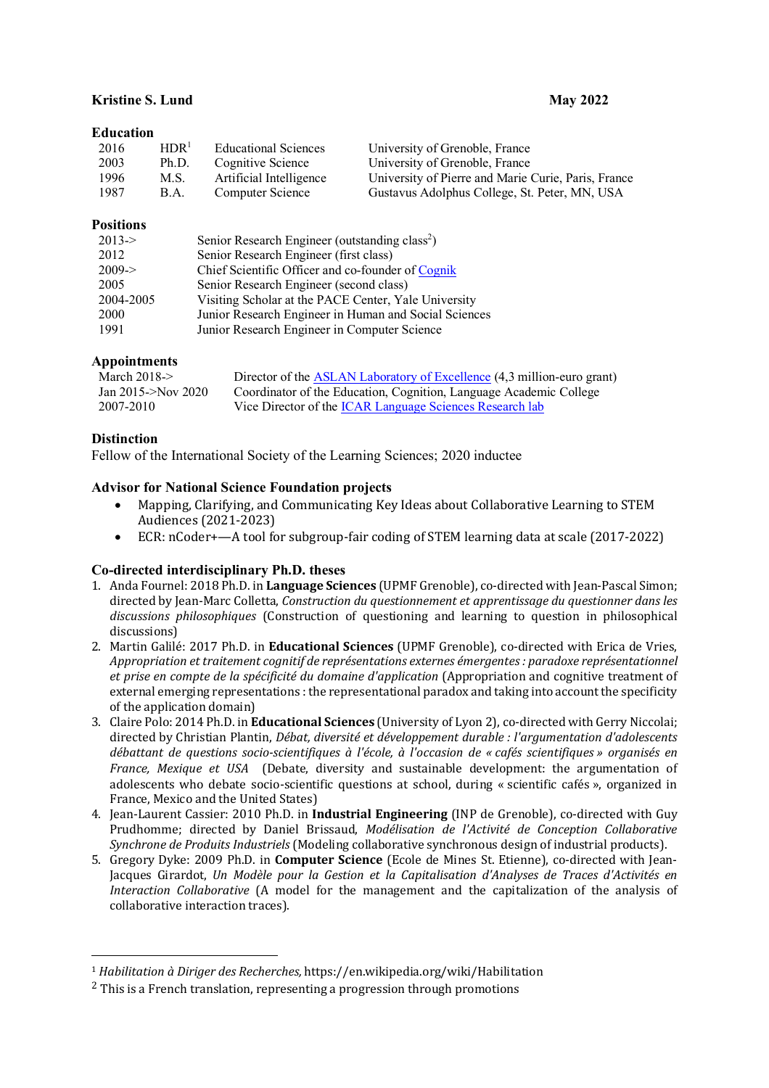# **Kristine S. Lund May** 2022

# **Education**

| 2016 | HDR <sup>1</sup> | <b>Educational Sciences</b> | University of Grenoble, France                      |
|------|------------------|-----------------------------|-----------------------------------------------------|
| 2003 | Ph.D.            | Cognitive Science           | University of Grenoble, France                      |
| 1996 | M.S.             | Artificial Intelligence     | University of Pierre and Marie Curie, Paris, France |
| 1987 | B.A.             | Computer Science            | Gustavus Adolphus College, St. Peter, MN, USA       |

# **Positions**

| $2013 - 5$ | Senior Research Engineer (outstanding class <sup>2</sup> ) |
|------------|------------------------------------------------------------|
| 2012       | Senior Research Engineer (first class)                     |
| $2009 - >$ | Chief Scientific Officer and co-founder of Cognik          |
| 2005       | Senior Research Engineer (second class)                    |
| 2004-2005  | Visiting Scholar at the PACE Center, Yale University       |
| 2000       | Junior Research Engineer in Human and Social Sciences      |
| 1991       | Junior Research Engineer in Computer Science               |

# **Appointments**

| March $2018 \rightarrow$ | Director of the ASLAN Laboratory of Excellence (4,3 million-euro grant) |
|--------------------------|-------------------------------------------------------------------------|
| Jan 2015- $>$ Nov 2020   | Coordinator of the Education, Cognition, Language Academic College      |
| 2007-2010                | Vice Director of the ICAR Language Sciences Research lab                |

# **Distinction**

 $\overline{a}$ 

Fellow of the International Society of the Learning Sciences; 2020 inductee

# **Advisor for National Science Foundation projects**

- Mapping, Clarifying, and Communicating Key Ideas about Collaborative Learning to STEM Audiences (2021-2023)
- ECR: nCoder+—A tool for subgroup-fair coding of STEM learning data at scale (2017-2022)

# **Co-directed interdisciplinary Ph.D. theses**

- 1. Anda Fournel: 2018 Ph.D. in **Language Sciences** (UPMF Grenoble), co-directed with Jean-Pascal Simon; directed by Jean-Marc Colletta, *Construction du questionnement et apprentissage du questionner dans les* discussions *philosophiques* (Construction of questioning and learning to question in philosophical discussions)
- 2. Martin Galilé: 2017 Ph.D. in **Educational Sciences** (UPMF Grenoble), co-directed with Erica de Vries, *Appropriation* et traitement cognitif de représentations externes émergentes : paradoxe représentationnel *et prise en compte de la spécificité du domaine d'application* (Appropriation and cognitive treatment of external emerging representations : the representational paradox and taking into account the specificity of the application domain)
- 3. Claire Polo: 2014 Ph.D. in **Educational Sciences** (University of Lyon 2), co-directed with Gerry Niccolai; directed by Christian Plantin, *Débat, diversité et développement durable : l'argumentation d'adolescents débattant de questions socio-scientifiques à l'école, à l'occasion de « cafés scientifiques » organisés en France, Mexique et USA* (Debate, diversity and sustainable development: the argumentation of adolescents who debate socio-scientific questions at school, during « scientific cafés », organized in France, Mexico and the United States)
- 4. Jean-Laurent Cassier: 2010 Ph.D. in **Industrial Engineering** (INP de Grenoble), co-directed with Guy Prudhomme; directed by Daniel Brissaud, *Modélisation de l'Activité de Conception Collaborative Synchrone de Produits Industriels* (Modeling collaborative synchronous design of industrial products).
- 5. Gregory Dyke: 2009 Ph.D. in **Computer Science** (Ecole de Mines St. Etienne), co-directed with Jean-Jacques Girardot, *Un Modèle pour la Gestion et la Capitalisation d'Analyses de Traces d'Activités en Interaction Collaborative* (A model for the management and the capitalization of the analysis of collaborative interaction traces).

<sup>&</sup>lt;sup>1</sup> *Habilitation à Diriger des Recherches, https://en.wikipedia.org/wiki/Habilitation* 

 $2$  This is a French translation, representing a progression through promotions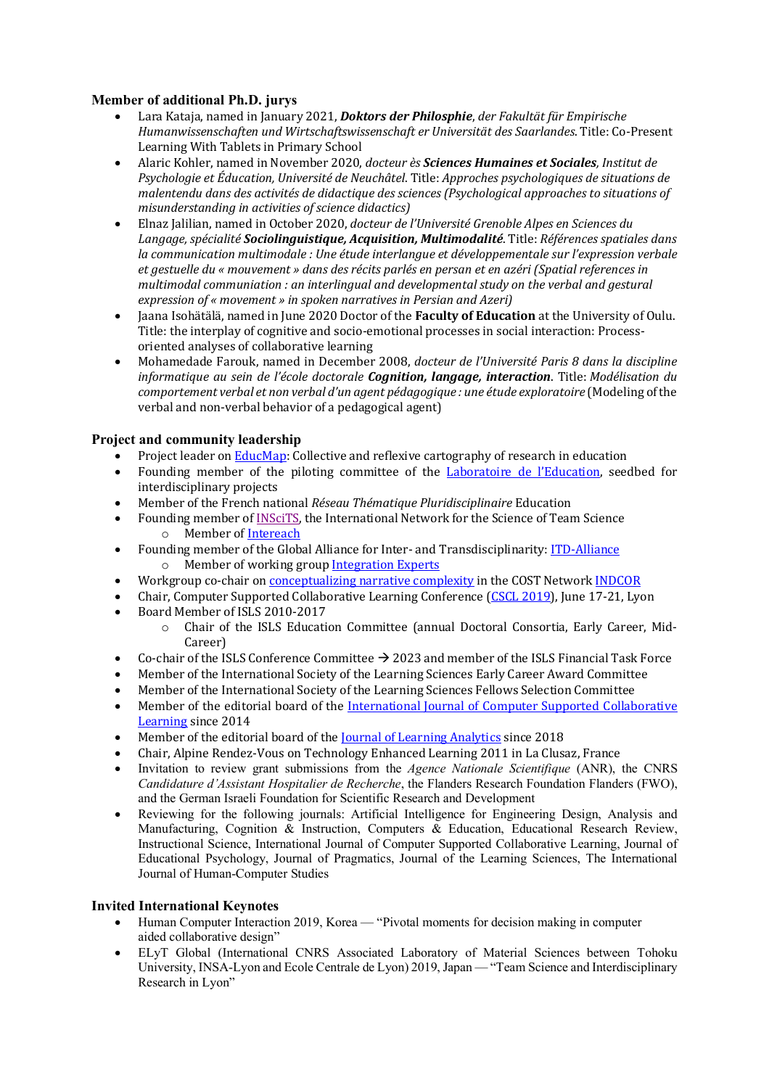# **Member of additional Ph.D. jurys**

- Lara Kataja, named in January 2021, *Doktors der Philosphie*, *der Fakultät für Empirische* Humanwissenschaften und Wirtschaftswissenschaft er Universität des Saarlandes. Title: Co-Present Learning With Tablets in Primary School
- Alaric Kohler, named in November 2020, *docteur ès Sciences Humaines et Sociales*, *Institut de Psychologie et Éducation, Université de Neuchâtel.* Title: *Approches psychologiques de situations de malentendu dans des activités de didactique des sciences (Psychological approaches to situations of misunderstanding in activities of science didactics)*
- Elnaz Jalilian, named in October 2020, *docteur de l'Université Grenoble Alpes en Sciences du* Langage, spécialité **Sociolinguistique, Acquisition, Multimodalité**. Title: *Références spatiales dans la* communication multimodale : Une étude interlangue et développementale sur l'expression verbale *et gestuelle du* « mouvement » dans des récits parlés en persan et en azéri (Spatial references in *multimodal communiation : an interlingual and developmental study on the verbal and gestural expression of* « *movement* » in spoken narratives in Persian and Azeri)
- Jaana Isohätälä, named in June 2020 Doctor of the **Faculty of Education** at the University of Oulu. Title: the interplay of cognitive and socio-emotional processes in social interaction: Processoriented analyses of collaborative learning
- Mohamedade Farouk, named in December 2008, *docteur de l'Université Paris 8 dans la discipline informatique au sein de l'école doctorale Cognition, langage, interaction.* Title: *Modélisation du comportement* verbal et non verbal d'un agent pédagogique : une étude exploratoire (Modeling of the verbal and non-verbal behavior of a pedagogical agent)

# **Project and community leadership**

- Project leader on EducMap: Collective and reflexive cartography of research in education
- Founding member of the piloting committee of the Laboratoire de l'Education, seedbed for interdisciplinary projects
- Member of the French national *Réseau Thématique Pluridisciplinaire* Education
- Founding member of INSciTS, the International Network for the Science of Team Science o Member of Intereach
- Founding member of the Global Alliance for Inter- and Transdisciplinarity: ITD-Alliance o Member of working group Integration Experts
- Workgroup co-chair on **conceptualizing narrative complexity** in the COST Network **INDCOR**
- Chair, Computer Supported Collaborative Learning Conference (CSCL 2019), June 17-21, Lyon
- Board Member of ISLS 2010-2017
	- $\circ$  Chair of the ISLS Education Committee (annual Doctoral Consortia, Early Career, Mid-Career)
- Co-chair of the ISLS Conference Committee  $\rightarrow$  2023 and member of the ISLS Financial Task Force
- Member of the International Society of the Learning Sciences Early Career Award Committee
- Member of the International Society of the Learning Sciences Fellows Selection Committee
- Member of the editorial board of the International Journal of Computer Supported Collaborative Learning since 2014
- Member of the editorial board of the <u>Journal of Learning Analytics</u> since 2018
- Chair, Alpine Rendez-Vous on Technology Enhanced Learning 2011 in La Clusaz, France
- Invitation to review grant submissions from the *Agence Nationale Scientifique* (ANR), the CNRS *Candidature d'Assistant Hospitalier de Recherche*, the Flanders Research Foundation Flanders (FWO), and the German Israeli Foundation for Scientific Research and Development
- Reviewing for the following journals: Artificial Intelligence for Engineering Design, Analysis and Manufacturing, Cognition & Instruction, Computers & Education, Educational Research Review, Instructional Science, International Journal of Computer Supported Collaborative Learning, Journal of Educational Psychology, Journal of Pragmatics, Journal of the Learning Sciences, The International Journal of Human-Computer Studies

## **Invited International Keynotes**

- Human Computer Interaction 2019, Korea "Pivotal moments for decision making in computer aided collaborative design"
- ELyT Global (International CNRS Associated Laboratory of Material Sciences between Tohoku University, INSA-Lyon and Ecole Centrale de Lyon) 2019, Japan — "Team Science and Interdisciplinary Research in Lyon"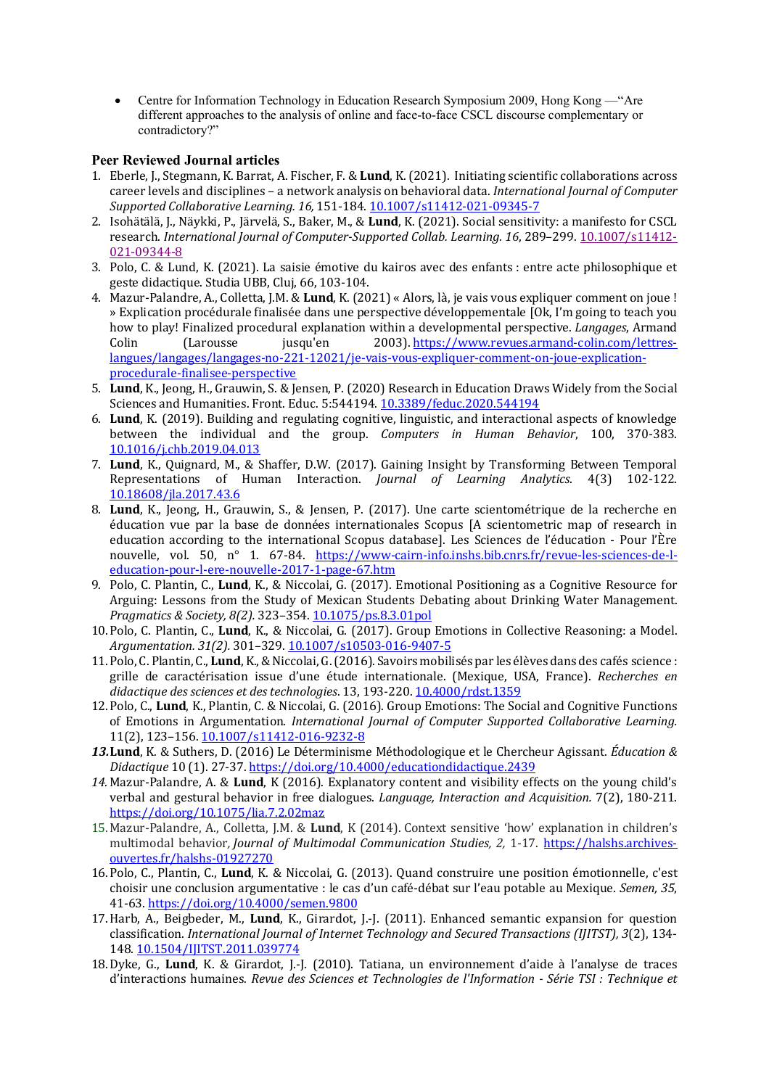• Centre for Information Technology in Education Research Symposium 2009, Hong Kong — "Are different approaches to the analysis of online and face-to-face CSCL discourse complementary or contradictory?"

### **Peer Reviewed Journal articles**

- 1. Eberle, J., Stegmann, K. Barrat, A. Fischer, F. & Lund, K. (2021). Initiating scientific collaborations across career levels and disciplines - a network analysis on behavioral data. *International Journal of Computer Supported Collaborative Learning. 16,* 151-184. 10.1007/s11412-021-09345-7
- 2. Isohätälä, I., Näykki, P., Järvelä, S., Baker, M., & Lund, K. (2021). Social sensitivity: a manifesto for CSCL research. *International Journal of Computer-Supported Collab. Learning. 16*, 289–299. 10.1007/s11412- 021-09344-8
- 3. Polo, C. & Lund, K. (2021). La saisie émotive du kairos avec des enfants : entre acte philosophique et geste didactique. Studia UBB, Cluj, 66, 103-104.
- 4. Mazur-Palandre, A., Colletta, J.M. & Lund, K. (2021) « Alors, là, je vais vous expliquer comment on joue ! » Explication procédurale finalisée dans une perspective développementale [Ok, I'm going to teach you how to play! Finalized procedural explanation within a developmental perspective. *Langages*, Armand Colin (Larousse jusqu'en 2003). https://www.revues.armand-colin.com/lettreslangues/langages/langages-no-221-12021/je-vais-vous-expliquer-comment-on-joue-explicationprocedurale-finalisee-perspective
- 5. **Lund**, K., Jeong, H., Grauwin, S. & Jensen, P. (2020) Research in Education Draws Widely from the Social Sciences and Humanities. Front. Educ. 5:544194. 10.3389/feduc.2020.544194
- 6. Lund, K. (2019). Building and regulating cognitive, linguistic, and interactional aspects of knowledge between the individual and the group. *Computers in Human Behavior*, 100, 370-383. 10.1016/j.chb.2019.04.013
- 7. **Lund**, K., Quignard, M., & Shaffer, D.W. (2017). Gaining Insight by Transforming Between Temporal Representations of Human Interaction. *Journal of Learning Analytics*. 4(3) 102-122. 10.18608/jla.2017.43.6
- 8. **Lund**, K., Jeong, H., Grauwin, S., & Jensen, P. (2017). Une carte scientométrique de la recherche en éducation vue par la base de données internationales Scopus [A scientometric map of research in education according to the international Scopus database]. Les Sciences de l'éducation - Pour l'Ère nouvelle, vol. 50, n° 1. 67-84. https://www-cairn-info.inshs.bib.cnrs.fr/revue-les-sciences-de-leducation-pour-l-ere-nouvelle-2017-1-page-67.htm
- 9. Polo, C. Plantin, C., Lund, K., & Niccolai, G. (2017). Emotional Positioning as a Cognitive Resource for Arguing: Lessons from the Study of Mexican Students Debating about Drinking Water Management. *Pragmatics & Society, 8(2).* 323–354. 10.1075/ps.8.3.01pol
- 10.Polo, C. Plantin, C., Lund, K., & Niccolai, G. (2017). Group Emotions in Collective Reasoning: a Model. *Argumentation. 31(2).* 301–329. 10.1007/s10503-016-9407-5
- 11. Polo, C. Plantin, C., **Lund**, K., & Niccolai, G. (2016). Savoirs mobilisés par les élèves dans des cafés science : grille de caractérisation issue d'une étude internationale. (Mexique, USA, France). *Recherches en* didactique des sciences et des technologies. 13, 193-220. 10.4000/rdst.1359
- 12. Polo, C., **Lund**, K., Plantin, C. & Niccolai, G. (2016). Group Emotions: The Social and Cognitive Functions of Emotions in Argumentation. *International Journal of Computer Supported Collaborative Learning.* 11(2), 123–156. 10.1007/s11412-016-9232-8
- **13. Lund**, K. & Suthers, D. (2016) Le Déterminisme Méthodologique et le Chercheur Agissant. *Éducation & Didactique* 10 (1). 27-37. https://doi.org/10.4000/educationdidactique.2439
- 14. Mazur-Palandre, A. & Lund, K (2016). Explanatory content and visibility effects on the young child's verbal and gestural behavior in free dialogues. *Language, Interaction and Acquisition.* 7(2), 180-211. https://doi.org/10.1075/lia.7.2.02maz
- 15. Mazur-Palandre, A., Colletta, J.M. & Lund, K (2014). Context sensitive 'how' explanation in children's multimodal behavior, *Journal of Multimodal Communication Studies, 2, 1-17.* https://halshs.archivesouvertes.fr/halshs-01927270
- 16. Polo, C., Plantin, C., Lund, K. & Niccolai, G. (2013). Quand construire une position émotionnelle, c'est choisir une conclusion argumentative : le cas d'un café-débat sur l'eau potable au Mexique. *Semen*, 35, 41-63. https://doi.org/10.4000/semen.9800
- 17. Harb, A., Beigbeder, M., Lund, K., Girardot, J.-J. (2011). Enhanced semantic expansion for question classification. *International Journal of Internet Technology and Secured Transactions (IJITST), 3(2), 134-*148. 10.1504/IJITST.2011.039774
- 18. Dyke, G., Lund, K. & Girardot, J.-J. (2010). Tatiana, un environnement d'aide à l'analyse de traces d'interactions humaines. *Revue des Sciences et Technologies de l'Information - Série TSI : Technique et*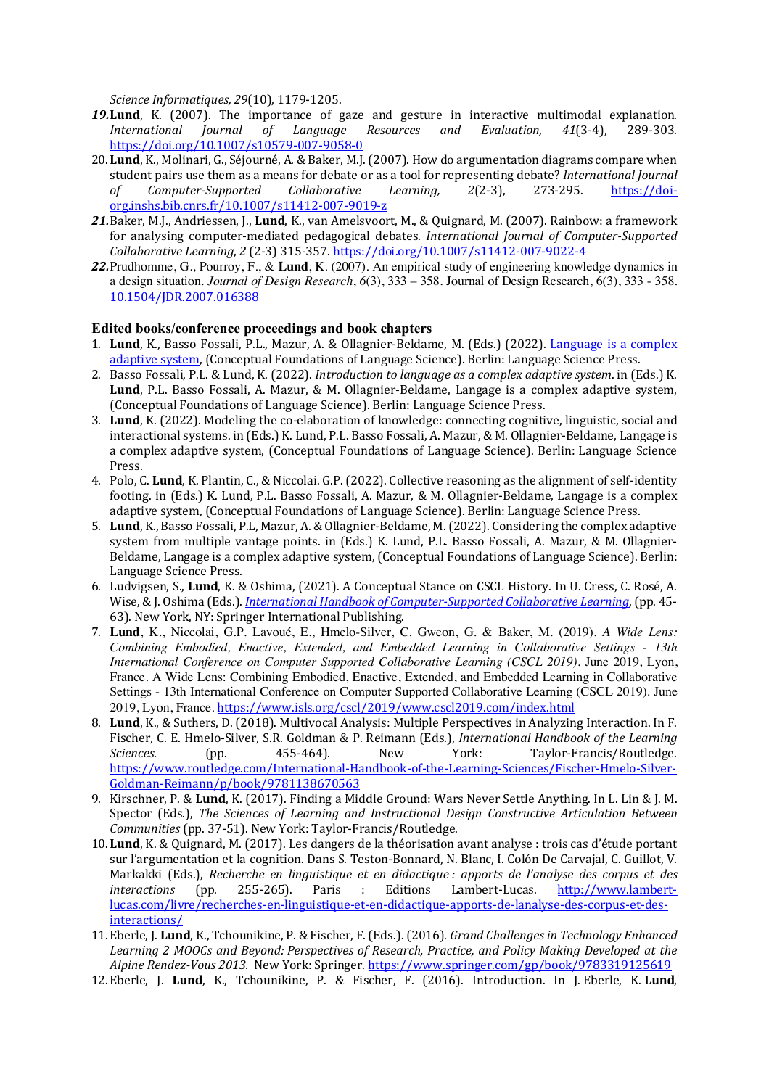*Science Informatiques, 29*(10), 1179-1205.

- 19. Lund, K. (2007). The importance of gaze and gesture in interactive multimodal explanation. *International Journal of Language Resources and Evaluation, 41*(3-4), 289-303. https://doi.org/10.1007/s10579-007-9058-0
- 20. Lund, K., Molinari, G., Séjourné, A. & Baker, M.J. (2007). How do argumentation diagrams compare when student pairs use them as a means for debate or as a tool for representing debate? *International Journal of Computer-Supported Collaborative Learning, 2*(2-3), 273-295. https://doiorg.inshs.bib.cnrs.fr/10.1007/s11412-007-9019-z
- 21.Baker, M.J., Andriessen, J., Lund, K., van Amelsvoort, M., & Ouignard, M. (2007). Rainbow: a framework for analysing computer-mediated pedagogical debates. *International Journal of Computer-Supported Collaborative Learning*, *2* (2-3) 315-357. https://doi.org/10.1007/s11412-007-9022-4
- *22.*Prudhomme, G., Pourroy, F., & **Lund**, K. (2007). An empirical study of engineering knowledge dynamics in a design situation. *Journal of Design Research*, *6*(3), 333 – 358. Journal of Design Research, 6(3), 333 - 358. 10.1504/JDR.2007.016388

#### **Edited books/conference proceedings and book chapters**

- 1. **Lund**, K., Basso Fossali, P.L., Mazur, A. & Ollagnier-Beldame, M. (Eds.) (2022). Language is a complex adaptive system, (Conceptual Foundations of Language Science). Berlin: Language Science Press.
- 2. Basso Fossali, P.L. & Lund, K. (2022). *Introduction to language as a complex adaptive system.* in (Eds.) K. **Lund**, P.L. Basso Fossali, A. Mazur, & M. Ollagnier-Beldame, Langage is a complex adaptive system, (Conceptual Foundations of Language Science). Berlin: Language Science Press.
- 3. Lund, K. (2022). Modeling the co-elaboration of knowledge: connecting cognitive, linguistic, social and interactional systems. in (Eds.) K. Lund, P.L. Basso Fossali, A. Mazur, & M. Ollagnier-Beldame, Langage is a complex adaptive system, (Conceptual Foundations of Language Science). Berlin: Language Science Press.
- 4. Polo, C. Lund, K. Plantin, C., & Niccolai. G.P. (2022). Collective reasoning as the alignment of self-identity footing. in (Eds.) K. Lund, P.L. Basso Fossali, A. Mazur, & M. Ollagnier-Beldame, Langage is a complex adaptive system, (Conceptual Foundations of Language Science). Berlin: Language Science Press.
- 5. **Lund**, K., Basso Fossali, P.L, Mazur, A. & Ollagnier-Beldame, M. (2022). Considering the complex adaptive system from multiple vantage points. in (Eds.) K. Lund, P.L. Basso Fossali, A. Mazur, & M. Ollagnier-Beldame, Langage is a complex adaptive system, (Conceptual Foundations of Language Science). Berlin: Language Science Press.
- 6. Ludvigsen, S., Lund, K. & Oshima, (2021). A Conceptual Stance on CSCL History. In U. Cress, C. Rosé, A. Wise, & J. Oshima (Eds.). *International Handbook of Computer-Supported Collaborative Learning*, (pp. 45-63). New York, NY: Springer International Publishing.
- 7. **Lund**, K., Niccolai, G.P. Lavoué, E., Hmelo-Silver, C. Gweon, G. & Baker, M. (2019). *A Wide Lens: Combining Embodied, Enactive, Extended, and Embedded Learning in Collaborative Settings - 13th International Conference on Computer Supported Collaborative Learning (CSCL 2019).* June 2019, Lyon, France. A Wide Lens: Combining Embodied, Enactive, Extended, and Embedded Learning in Collaborative Settings - 13th International Conference on Computer Supported Collaborative Learning (CSCL 2019). June 2019, Lyon, France. https://www.isls.org/cscl/2019/www.cscl2019.com/index.html
- 8. Lund, K., & Suthers, D. (2018). Multivocal Analysis: Multiple Perspectives in Analyzing Interaction. In F. Fischer, C. E. Hmelo-Silver, S.R. Goldman & P. Reimann (Eds.), *International Handbook of the Learning* Sciences. (pp. 455-464). New York: Taylor-Francis/Routledge. https://www.routledge.com/International-Handbook-of-the-Learning-Sciences/Fischer-Hmelo-Silver-Goldman-Reimann/p/book/9781138670563
- 9. Kirschner, P. & Lund, K. (2017). Finding a Middle Ground: Wars Never Settle Anything. In L. Lin & J. M. Spector (Eds.), *The Sciences of Learning and Instructional Design Constructive Articulation Between Communities* (pp. 37-51). New York: Taylor-Francis/Routledge.
- 10. Lund, K. & Quignard, M. (2017). Les dangers de la théorisation avant analyse : trois cas d'étude portant sur l'argumentation et la cognition. Dans S. Teston-Bonnard, N. Blanc, I. Colón De Carvajal, C. Guillot, V. Markakki (Eds.), *Recherche en linguistique et en didactique : apports de l'analyse des corpus et des interactions* (pp. 255-265). Paris : Editions Lambert-Lucas. http://www.lambertlucas.com/livre/recherches-en-linguistique-et-en-didactique-apports-de-lanalyse-des-corpus-et-desinteractions/
- 11. Eberle, J. Lund, K., Tchounikine, P. & Fischer, F. (Eds.). (2016). *Grand Challenges in Technology Enhanced* Learning 2 MOOCs and Beyond: Perspectives of Research, Practice, and Policy Making Developed at the Alpine Rendez-Vous 2013. New York: Springer. https://www.springer.com/gp/book/9783319125619
- 12. Eberle, J. Lund, K., Tchounikine, P. & Fischer, F. (2016). Introduction. In J. Eberle, K. Lund,